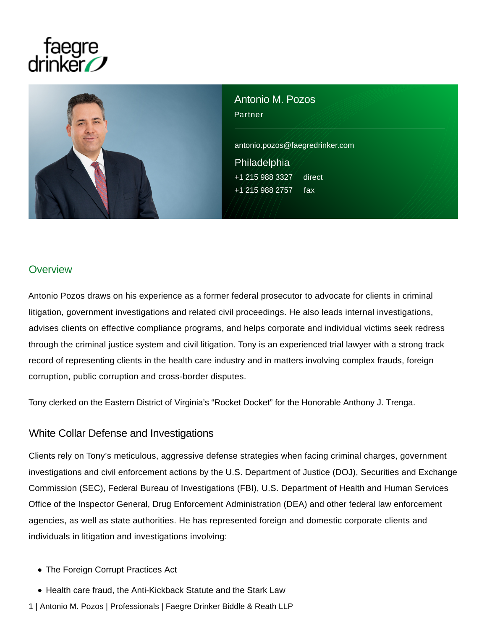# faegre<br>//drinker



Antonio M. Pozos Partner antonio.pozos@faegredrinker.com Philadelphia +1 215 988 3327 direct +1 215 988 2757 fax

## **Overview**

Antonio Pozos draws on his experience as a former federal prosecutor to advocate for clients in criminal litigation, government investigations and related civil proceedings. He also leads internal investigations, advises clients on effective compliance programs, and helps corporate and individual victims seek redress through the criminal justice system and civil litigation. Tony is an experienced trial lawyer with a strong track record of representing clients in the health care industry and in matters involving complex frauds, foreign corruption, public corruption and cross-border disputes.

Tony clerked on the Eastern District of Virginia's "Rocket Docket" for the Honorable Anthony J. Trenga.

## White Collar Defense and Investigations

Clients rely on Tony's meticulous, aggressive defense strategies when facing criminal charges, government investigations and civil enforcement actions by the U.S. Department of Justice (DOJ), Securities and Exchange Commission (SEC), Federal Bureau of Investigations (FBI), U.S. Department of Health and Human Services Office of the Inspector General, Drug Enforcement Administration (DEA) and other federal law enforcement agencies, as well as state authorities. He has represented foreign and domestic corporate clients and individuals in litigation and investigations involving:

- The Foreign Corrupt Practices Act
- Health care fraud, the Anti-Kickback Statute and the Stark Law
- 1 | Antonio M. Pozos | Professionals | Faegre Drinker Biddle & Reath LLP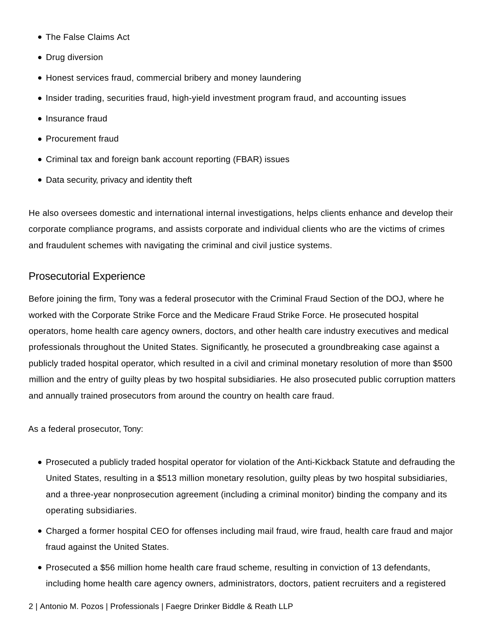- The False Claims Act
- Drug diversion
- Honest services fraud, commercial bribery and money laundering
- Insider trading, securities fraud, high-yield investment program fraud, and accounting issues
- Insurance fraud
- Procurement fraud
- Criminal tax and foreign bank account reporting (FBAR) issues
- Data security, privacy and identity theft

He also oversees domestic and international internal investigations, helps clients enhance and develop their corporate compliance programs, and assists corporate and individual clients who are the victims of crimes and fraudulent schemes with navigating the criminal and civil justice systems.

## Prosecutorial Experience

Before joining the firm, Tony was a federal prosecutor with the Criminal Fraud Section of the DOJ, where he worked with the Corporate Strike Force and the Medicare Fraud Strike Force. He prosecuted hospital operators, home health care agency owners, doctors, and other health care industry executives and medical professionals throughout the United States. Significantly, he prosecuted a groundbreaking case against a publicly traded hospital operator, which resulted in a civil and criminal monetary resolution of more than \$500 million and the entry of guilty pleas by two hospital subsidiaries. He also prosecuted public corruption matters and annually trained prosecutors from around the country on health care fraud.

As a federal prosecutor, Tony:

- Prosecuted a publicly traded hospital operator for violation of the Anti-Kickback Statute and defrauding the United States, resulting in a \$513 million monetary resolution, guilty pleas by two hospital subsidiaries, and a three-year nonprosecution agreement (including a criminal monitor) binding the company and its operating subsidiaries.
- Charged a former hospital CEO for offenses including mail fraud, wire fraud, health care fraud and major fraud against the United States.
- Prosecuted a \$56 million home health care fraud scheme, resulting in conviction of 13 defendants, including home health care agency owners, administrators, doctors, patient recruiters and a registered
- 2 | Antonio M. Pozos | Professionals | Faegre Drinker Biddle & Reath LLP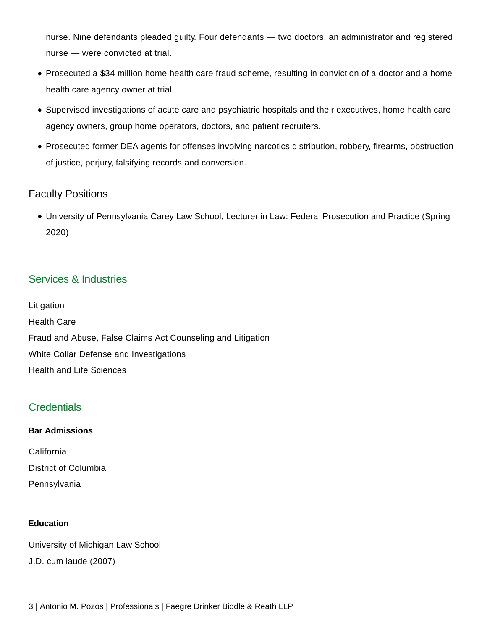nurse. Nine defendants pleaded guilty. Four defendants — two doctors, an administrator and registered nurse — were convicted at trial.

- Prosecuted a \$34 million home health care fraud scheme, resulting in conviction of a doctor and a home health care agency owner at trial.
- Supervised investigations of acute care and psychiatric hospitals and their executives, home health care agency owners, group home operators, doctors, and patient recruiters.
- Prosecuted former DEA agents for offenses involving narcotics distribution, robbery, firearms, obstruction of justice, perjury, falsifying records and conversion.

# Faculty Positions

University of Pennsylvania Carey Law School, Lecturer in Law: Federal Prosecution and Practice (Spring 2020)

# Services & Industries

Litigation Health Care Fraud and Abuse, False Claims Act Counseling and Litigation White Collar Defense and Investigations Health and Life Sciences

# **Credentials**

### **Bar Admissions**

California District of Columbia Pennsylvania

#### **Education**

University of Michigan Law School J.D. cum laude (2007)